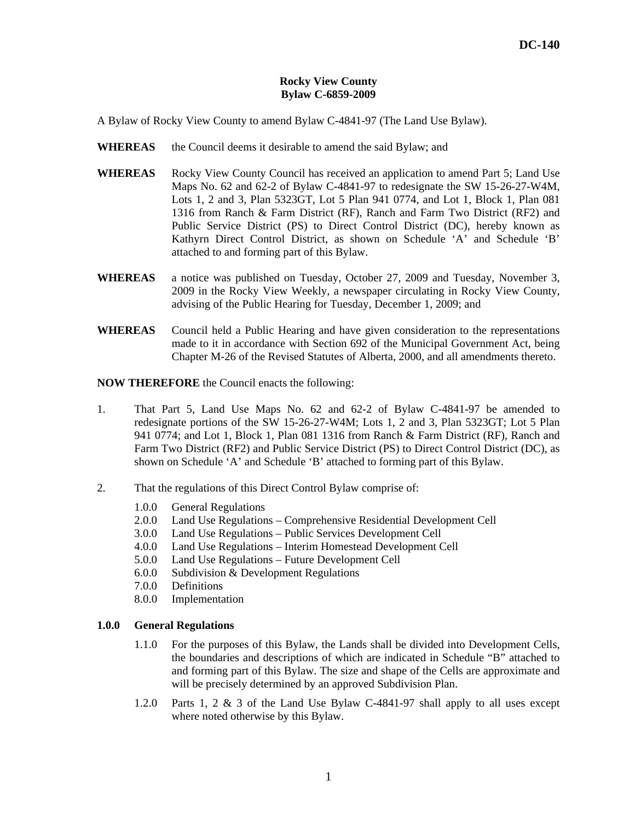#### **Rocky View County Bylaw C-6859-2009**

A Bylaw of Rocky View County to amend Bylaw C-4841-97 (The Land Use Bylaw).

- WHEREAS the Council deems it desirable to amend the said Bylaw; and
- **WHEREAS** Rocky View County Council has received an application to amend Part 5; Land Use Maps No. 62 and 62-2 of Bylaw C-4841-97 to redesignate the SW 15-26-27-W4M, Lots 1, 2 and 3, Plan 5323GT, Lot 5 Plan 941 0774, and Lot 1, Block 1, Plan 081 1316 from Ranch & Farm District (RF), Ranch and Farm Two District (RF2) and Public Service District (PS) to Direct Control District (DC), hereby known as Kathyrn Direct Control District, as shown on Schedule 'A' and Schedule 'B' attached to and forming part of this Bylaw.
- **WHEREAS** a notice was published on Tuesday, October 27, 2009 and Tuesday, November 3, 2009 in the Rocky View Weekly, a newspaper circulating in Rocky View County, advising of the Public Hearing for Tuesday, December 1, 2009; and
- **WHEREAS** Council held a Public Hearing and have given consideration to the representations made to it in accordance with Section 692 of the Municipal Government Act, being Chapter M-26 of the Revised Statutes of Alberta, 2000, and all amendments thereto.

**NOW THEREFORE** the Council enacts the following:

- 1. That Part 5, Land Use Maps No. 62 and 62-2 of Bylaw C-4841-97 be amended to redesignate portions of the SW 15-26-27-W4M; Lots 1, 2 and 3, Plan 5323GT; Lot 5 Plan 941 0774; and Lot 1, Block 1, Plan 081 1316 from Ranch & Farm District (RF), Ranch and Farm Two District (RF2) and Public Service District (PS) to Direct Control District (DC), as shown on Schedule 'A' and Schedule 'B' attached to forming part of this Bylaw.
- 2. That the regulations of this Direct Control Bylaw comprise of:
	- 1.0.0 General Regulations
	- 2.0.0 Land Use Regulations Comprehensive Residential Development Cell
	- 3.0.0 Land Use Regulations Public Services Development Cell
	- 4.0.0 Land Use Regulations Interim Homestead Development Cell
	- 5.0.0 Land Use Regulations Future Development Cell
	- 6.0.0 Subdivision & Development Regulations
	- 7.0.0 Definitions
	- 8.0.0 Implementation

## **1.0.0 General Regulations**

- 1.1.0 For the purposes of this Bylaw, the Lands shall be divided into Development Cells, the boundaries and descriptions of which are indicated in Schedule "B" attached to and forming part of this Bylaw. The size and shape of the Cells are approximate and will be precisely determined by an approved Subdivision Plan.
- 1.2.0 Parts 1, 2 & 3 of the Land Use Bylaw C-4841-97 shall apply to all uses except where noted otherwise by this Bylaw.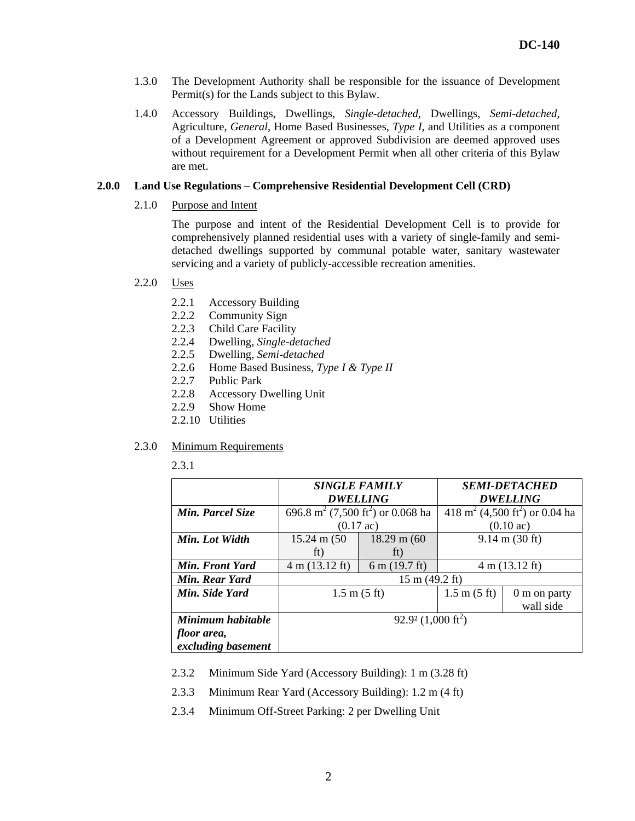- 1.3.0 The Development Authority shall be responsible for the issuance of Development Permit(s) for the Lands subject to this Bylaw.
- 1.4.0 Accessory Buildings, Dwellings, *Single-detached,* Dwellings, *Semi-detached,*  Agriculture, *General*, Home Based Businesses, *Type I,* and Utilities as a component of a Development Agreement or approved Subdivision are deemed approved uses without requirement for a Development Permit when all other criteria of this Bylaw are met.

#### **2.0.0 Land Use Regulations – Comprehensive Residential Development Cell (CRD)**

2.1.0 Purpose and Intent

The purpose and intent of the Residential Development Cell is to provide for comprehensively planned residential uses with a variety of single-family and semidetached dwellings supported by communal potable water, sanitary wastewater servicing and a variety of publicly-accessible recreation amenities.

- 2.2.0 Uses
	- 2.2.1 Accessory Building
	- 2.2.2 Community Sign
	- 2.2.3 Child Care Facility
	- 2.2.4 Dwelling, *Single-detached*
	- 2.2.5 Dwelling, *Semi-detached*
	- 2.2.6 Home Based Business, *Type I & Type II*
	- 2.2.7 Public Park
	- 2.2.8 Accessory Dwelling Unit
	- 2.2.9 Show Home
	- 2.2.10 Utilities

### 2.3.0 Minimum Requirements

2.3.1

|                    | <b>SINGLE FAMILY</b>                                      |                         | <i><b>SEMI-DETACHED</b></i>                            |              |
|--------------------|-----------------------------------------------------------|-------------------------|--------------------------------------------------------|--------------|
|                    | <b>DWELLING</b>                                           |                         | <b>DWELLING</b>                                        |              |
| Min. Parcel Size   | 696.8 m <sup>2</sup> (7,500 ft <sup>2</sup> ) or 0.068 ha |                         | 418 m <sup>2</sup> (4,500 ft <sup>2</sup> ) or 0.04 ha |              |
|                    | $(0.17 \text{ ac})$                                       |                         | $(0.10 \text{ ac})$                                    |              |
| Min. Lot Width     | $15.24 \text{ m} (50)$                                    | $18.29 \text{ m} (60)$  | $9.14 \text{ m} (30 \text{ ft})$                       |              |
|                    | ft)                                                       | ft)                     |                                                        |              |
| Min. Front Yard    | 4 m (13.12 ft)                                            | $6 \text{ m}$ (19.7 ft) | $4 \text{ m} (13.12 \text{ ft})$                       |              |
| Min. Rear Yard     | $15 \text{ m} (49.2 \text{ ft})$                          |                         |                                                        |              |
| Min. Side Yard     | $1.5 \text{ m} (5 \text{ ft})$                            |                         | $1.5 \text{ m} (5 \text{ ft})$                         | 0 m on party |
|                    |                                                           |                         |                                                        | wall side    |
| Minimum habitable  | $92.9^2$ (1,000 ft <sup>2</sup> )                         |                         |                                                        |              |
| floor area,        |                                                           |                         |                                                        |              |
| excluding basement |                                                           |                         |                                                        |              |

- 2.3.2 Minimum Side Yard (Accessory Building): 1 m (3.28 ft)
- 2.3.3 Minimum Rear Yard (Accessory Building): 1.2 m (4 ft)
- 2.3.4 Minimum Off-Street Parking: 2 per Dwelling Unit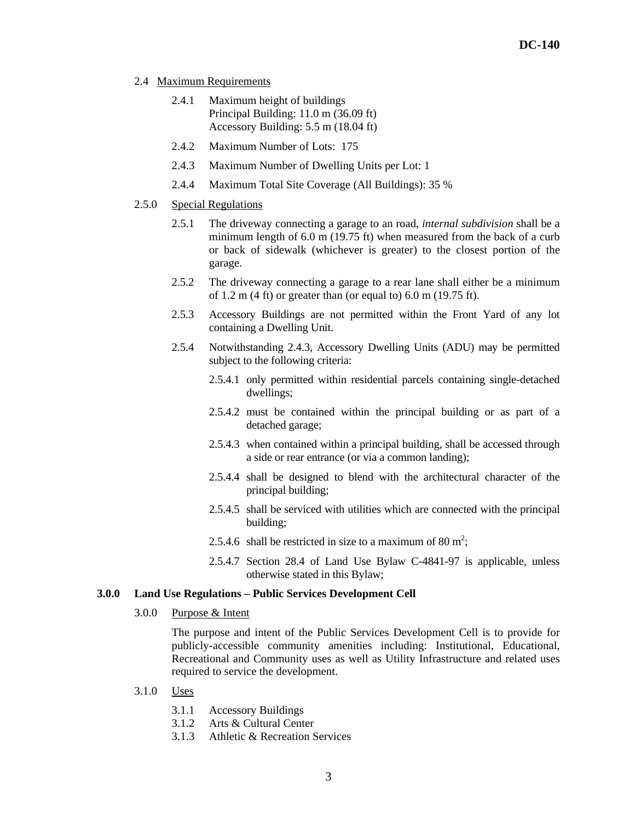- 2.4 Maximum Requirements
	- 2.4.1 Maximum height of buildings Principal Building: 11.0 m (36.09 ft) Accessory Building: 5.5 m (18.04 ft)
	- 2.4.2 Maximum Number of Lots: 175
	- 2.4.3 Maximum Number of Dwelling Units per Lot: 1
	- 2.4.4 Maximum Total Site Coverage (All Buildings): 35 %
- 2.5.0 Special Regulations
	- 2.5.1 The driveway connecting a garage to an road, *internal subdivision* shall be a minimum length of 6.0 m (19.75 ft) when measured from the back of a curb or back of sidewalk (whichever is greater) to the closest portion of the garage.
	- 2.5.2 The driveway connecting a garage to a rear lane shall either be a minimum of 1.2 m (4 ft) or greater than (or equal to) 6.0 m (19.75 ft).
	- 2.5.3 Accessory Buildings are not permitted within the Front Yard of any lot containing a Dwelling Unit.
	- 2.5.4 Notwithstanding 2.4.3, Accessory Dwelling Units (ADU) may be permitted subject to the following criteria:
		- 2.5.4.1 only permitted within residential parcels containing single-detached dwellings;
		- 2.5.4.2 must be contained within the principal building or as part of a detached garage;
		- 2.5.4.3 when contained within a principal building, shall be accessed through a side or rear entrance (or via a common landing);
		- 2.5.4.4 shall be designed to blend with the architectural character of the principal building;
		- 2.5.4.5 shall be serviced with utilities which are connected with the principal building;
		- 2.5.4.6 shall be restricted in size to a maximum of 80 m<sup>2</sup>;
		- 2.5.4.7 Section 28.4 of Land Use Bylaw C-4841-97 is applicable, unless otherwise stated in this Bylaw;

#### **3.0.0 Land Use Regulations – Public Services Development Cell**

3.0.0 Purpose & Intent

The purpose and intent of the Public Services Development Cell is to provide for publicly-accessible community amenities including: Institutional, Educational, Recreational and Community uses as well as Utility Infrastructure and related uses required to service the development.

- 3.1.0 Uses
	- 3.1.1 Accessory Buildings
	- 3.1.2 Arts & Cultural Center
	- 3.1.3 Athletic & Recreation Services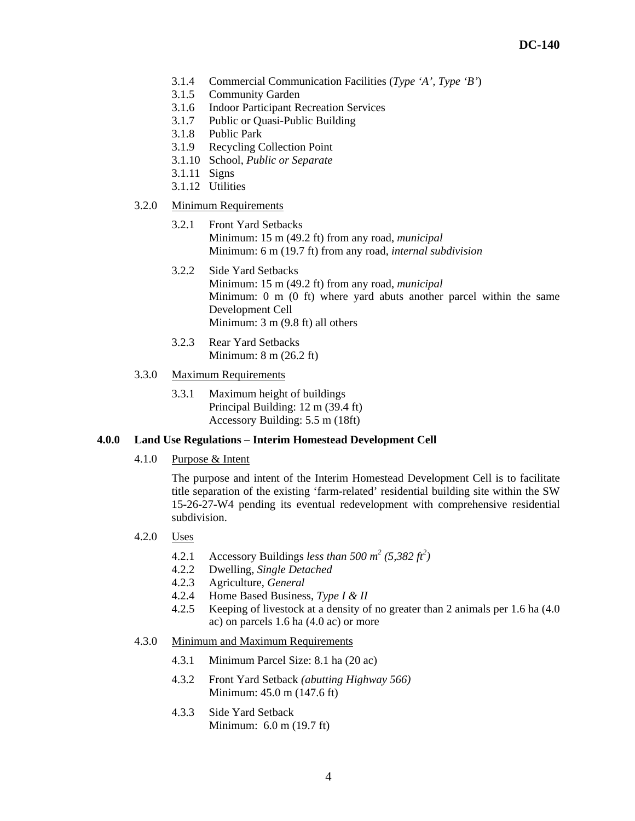- 3.1.4 Commercial Communication Facilities (*Type 'A', Type 'B'*)
- 3.1.5 Community Garden
- 3.1.6 Indoor Participant Recreation Services
- 3.1.7 Public or Quasi-Public Building
- 3.1.8 Public Park
- 3.1.9 Recycling Collection Point
- 3.1.10 School, *Public or Separate*
- 3.1.11 Signs
- 3.1.12 Utilities
- 3.2.0 Minimum Requirements
	- 3.2.1 Front Yard Setbacks Minimum: 15 m (49.2 ft) from any road, *municipal* Minimum: 6 m (19.7 ft) from any road, *internal subdivision*
	- 3.2.2 Side Yard Setbacks Minimum: 15 m (49.2 ft) from any road, *municipal* Minimum: 0 m (0 ft) where yard abuts another parcel within the same Development Cell Minimum: 3 m (9.8 ft) all others
	- 3.2.3 Rear Yard Setbacks Minimum: 8 m (26.2 ft)
- 3.3.0 Maximum Requirements
	- 3.3.1 Maximum height of buildings Principal Building: 12 m (39.4 ft) Accessory Building: 5.5 m (18ft)

# **4.0.0 Land Use Regulations – Interim Homestead Development Cell**

4.1.0 Purpose & Intent

The purpose and intent of the Interim Homestead Development Cell is to facilitate title separation of the existing 'farm-related' residential building site within the SW 15-26-27-W4 pending its eventual redevelopment with comprehensive residential subdivision.

- 4.2.0 Uses
	- 4.2.1 Accessory Buildings *less than*  $500 \text{ m}^2 (5,382 \text{ ft}^2)$
	- 4.2.2 Dwelling, *Single Detached*
	- 4.2.3 Agriculture, *General*
	- 4.2.4 Home Based Business, *Type I & II*
	- 4.2.5 Keeping of livestock at a density of no greater than 2 animals per 1.6 ha (4.0 ac) on parcels 1.6 ha (4.0 ac) or more
- 4.3.0 Minimum and Maximum Requirements
	- 4.3.1 Minimum Parcel Size: 8.1 ha (20 ac)
	- 4.3.2 Front Yard Setback *(abutting Highway 566)*  Minimum: 45.0 m (147.6 ft)
	- 4.3.3 Side Yard Setback Minimum: 6.0 m (19.7 ft)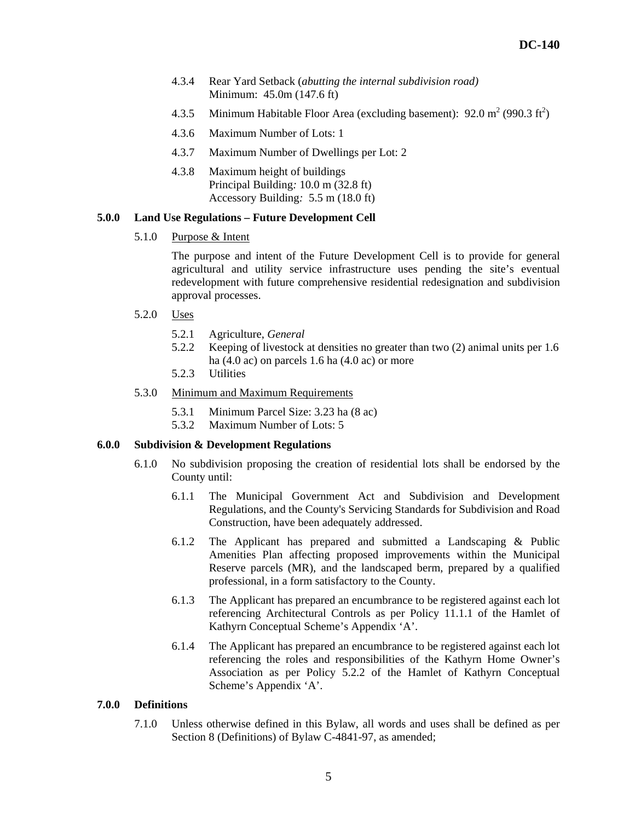- 4.3.4 Rear Yard Setback (*abutting the internal subdivision road)* Minimum: 45.0m (147.6 ft)
- 4.3.5 Minimum Habitable Floor Area (excluding basement):  $92.0 \text{ m}^2 (990.3 \text{ ft}^2)$
- 4.3.6 Maximum Number of Lots: 1
- 4.3.7 Maximum Number of Dwellings per Lot: 2
- 4.3.8 Maximum height of buildings Principal Building*:* 10.0 m (32.8 ft) Accessory Building*:* 5.5 m (18.0 ft)

#### **5.0.0 Land Use Regulations – Future Development Cell**

5.1.0 Purpose & Intent

The purpose and intent of the Future Development Cell is to provide for general agricultural and utility service infrastructure uses pending the site's eventual redevelopment with future comprehensive residential redesignation and subdivision approval processes.

- 5.2.0 Uses
	- 5.2.1 Agriculture, *General*
	- 5.2.2 Keeping of livestock at densities no greater than two (2) animal units per 1.6 ha (4.0 ac) on parcels 1.6 ha (4.0 ac) or more
	- 5.2.3 Utilities
- 5.3.0 Minimum and Maximum Requirements
	- 5.3.1 Minimum Parcel Size: 3.23 ha (8 ac)
	- 5.3.2 Maximum Number of Lots: 5

## **6.0.0 Subdivision & Development Regulations**

- 6.1.0 No subdivision proposing the creation of residential lots shall be endorsed by the County until:
	- 6.1.1 The Municipal Government Act and Subdivision and Development Regulations, and the County's Servicing Standards for Subdivision and Road Construction, have been adequately addressed.
	- 6.1.2 The Applicant has prepared and submitted a Landscaping & Public Amenities Plan affecting proposed improvements within the Municipal Reserve parcels (MR), and the landscaped berm, prepared by a qualified professional, in a form satisfactory to the County.
	- 6.1.3 The Applicant has prepared an encumbrance to be registered against each lot referencing Architectural Controls as per Policy 11.1.1 of the Hamlet of Kathyrn Conceptual Scheme's Appendix 'A'.
	- 6.1.4 The Applicant has prepared an encumbrance to be registered against each lot referencing the roles and responsibilities of the Kathyrn Home Owner's Association as per Policy 5.2.2 of the Hamlet of Kathyrn Conceptual Scheme's Appendix 'A'.

### **7.0.0 Definitions**

 7.1.0 Unless otherwise defined in this Bylaw, all words and uses shall be defined as per Section 8 (Definitions) of Bylaw C-4841-97, as amended;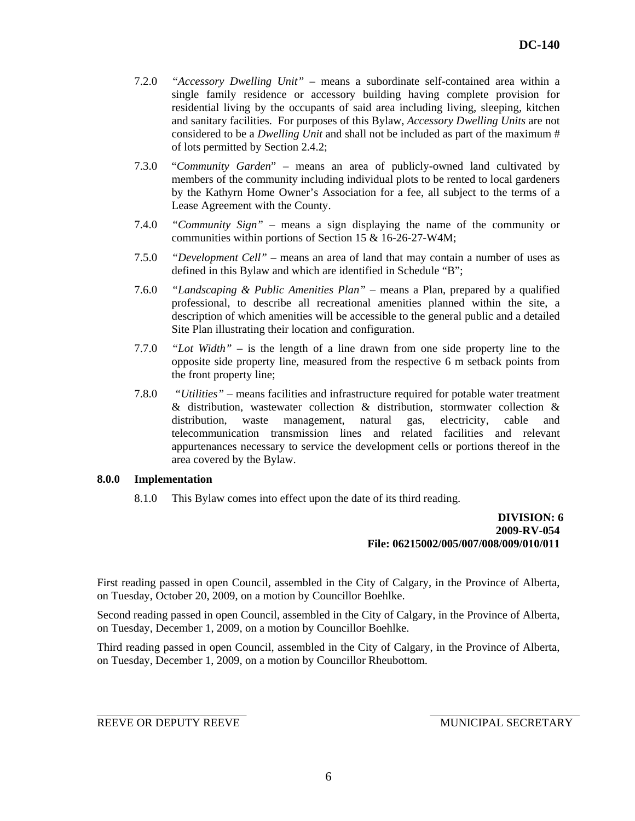- 7.2.0 *"Accessory Dwelling Unit"* means a subordinate self-contained area within a single family residence or accessory building having complete provision for residential living by the occupants of said area including living, sleeping, kitchen and sanitary facilities. For purposes of this Bylaw, *Accessory Dwelling Units* are not considered to be a *Dwelling Unit* and shall not be included as part of the maximum # of lots permitted by Section 2.4.2;
- 7.3.0 "*Community Garden*" means an area of publicly-owned land cultivated by members of the community including individual plots to be rented to local gardeners by the Kathyrn Home Owner's Association for a fee, all subject to the terms of a Lease Agreement with the County.
- 7.4.0 *"Community Sign"* means a sign displaying the name of the community or communities within portions of Section 15 & 16-26-27-W4M;
- 7.5.0 *"Development Cell"* means an area of land that may contain a number of uses as defined in this Bylaw and which are identified in Schedule "B";
- 7.6.0 *"Landscaping & Public Amenities Plan"* means a Plan, prepared by a qualified professional, to describe all recreational amenities planned within the site, a description of which amenities will be accessible to the general public and a detailed Site Plan illustrating their location and configuration.
- 7.7.0 *"Lot Width"*  is the length of a line drawn from one side property line to the opposite side property line, measured from the respective 6 m setback points from the front property line;
- 7.8.0 *"Utilities"* means facilities and infrastructure required for potable water treatment & distribution, wastewater collection & distribution, stormwater collection & distribution, waste management, natural gas, electricity, cable and telecommunication transmission lines and related facilities and relevant appurtenances necessary to service the development cells or portions thereof in the area covered by the Bylaw.

#### **8.0.0 Implementation**

8.1.0 This Bylaw comes into effect upon the date of its third reading.

# **DIVISION: 6 2009-RV-054 File: 06215002/005/007/008/009/010/011**

First reading passed in open Council, assembled in the City of Calgary, in the Province of Alberta, on Tuesday, October 20, 2009, on a motion by Councillor Boehlke.

Second reading passed in open Council, assembled in the City of Calgary, in the Province of Alberta, on Tuesday, December 1, 2009, on a motion by Councillor Boehlke.

Third reading passed in open Council, assembled in the City of Calgary, in the Province of Alberta, on Tuesday, December 1, 2009, on a motion by Councillor Rheubottom.

REEVE OR DEPUTY REEVE MUNICIPAL SECRETARY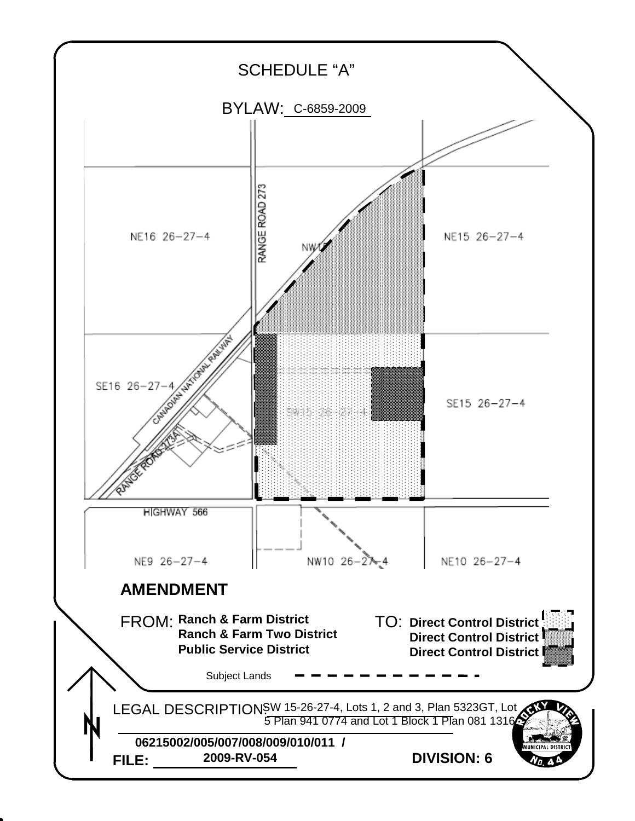